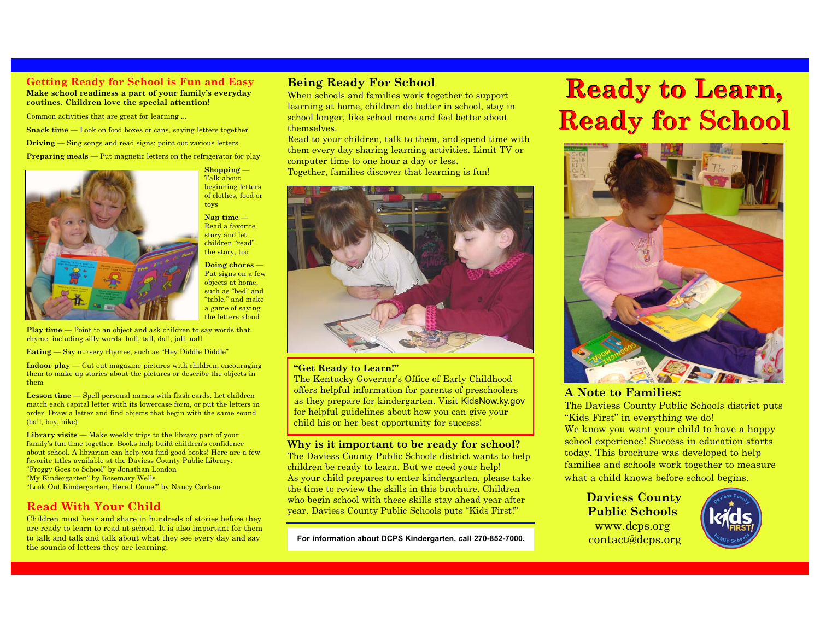## **Getting Ready for School is Fun and Easy**

**Make school readiness a part of your family's everyday routines. Children love the special attention!**

Common activities that are great for learning ...

**Snack time** — Look on food boxes or cans, saying letters together

**Driving** — Sing songs and read signs; point out various letters

**Preparing meals** — Put magnetic letters on the refrigerator for play



**Shopping** — Talk about beginning letters of clothes, food or toys **Nap time** —

Read a favorite story and let children "read" the story, too

**Doing chores** — Put signs on a few objects at home, such as "bed" and "table," and make a game of saying the letters aloud

Play time — Point to an object and ask children to say words that rhyme, including silly words: ball, tall, dall, jall, nall

**Eating** — Say nursery rhymes, such as "Hey Diddle Diddle"

**Indoor play** — Cut out magazine pictures with children, encouraging them to make up stories about the pictures or describe the objects in them

**Lesson time** — Spell personal names with flash cards. Let children match each capital letter with its lowercase form, or put the letters in order. Draw a letter and find objects that begin with the same sound (ball, boy, bike)

**Library visits** — Make weekly trips to the library part of your family's fun time together. Books help build children's confidence about school. A librarian can help you find good books! Here are a few favorite titles available at the Daviess County Public Library: "Froggy Goes to School" by Jonathan London "My Kindergarten" by Rosemary Wells "Look Out Kindergarten, Here I Come!" by Nancy Carlson

## **Read With Your Child**

Children must hear and share in hundreds of stories before they are ready to learn to read at school. It is also important for them to talk and talk and talk about what they see every day and say the sounds of letters they are learning.

### **Being Ready For School**

When schools and families work together to support learning at home, children do better in school, stay in school longer, like school more and feel better about themselves.

Read to your children, talk to them, and spend time with them every day sharing learning activities. Limit TV or computer time to one hour a day or less. Together, families discover that learning is fun!



#### **"Get Ready to Learn!"**

The Kentucky Governor's Office of Early Childhood offers helpful information for parents of preschoolers as they prepare for kindergarten. Visit KidsNow.ky.gov for helpful guidelines about how you can give your child his or her best opportunity for success!

**Why is it important to be ready for school?**

The Daviess County Public Schools district wants to help children be ready to learn. But we need your help! As your child prepares to enter kindergarten, please take the time to review the skills in this brochure. Children who begin school with these skills stay ahead year after year. Daviess County Public Schools puts "Kids First!"

**For information about DCPS Kindergarten, call 270-852-7000.**

# **Ready to Learn, Ready to Learn, Ready for School Ready for School**



## **A Note to Families:**

The Daviess County Public Schools district puts "Kids First" in everything we do! We know you want your child to have a happy school experience! Success in education starts today. This brochure was developed to help families and schools work together to measure what a child knows before school begins.

**Daviess County Public Schools** www.dcps.org contact@dcps.org